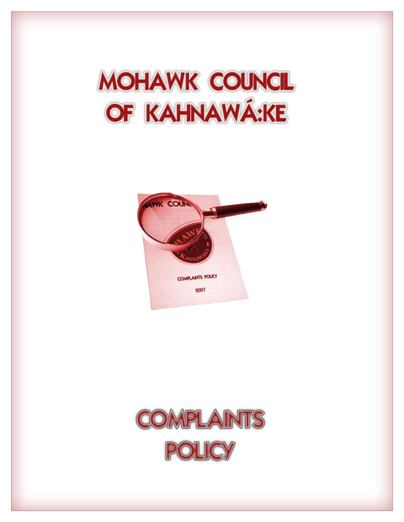



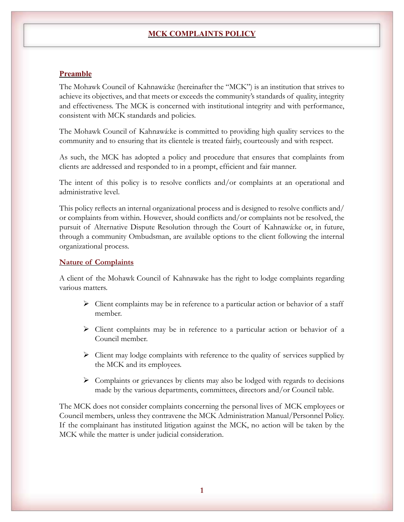# **MCK COMPLAINTS POLICY**

# **Preamble**

The Mohawk Council of Kahnawá:ke (hereinafter the "MCK") is an institution that strives to achieve its objectives, and that meets or exceeds the community's standards of quality, integrity and effectiveness. The MCK is concerned with institutional integrity and with performance, consistent with MCK standards and policies.

The Mohawk Council of Kahnawá:ke is committed to providing high quality services to the community and to ensuring that its clientele is treated fairly, courteously and with respect.

As such, the MCK has adopted a policy and procedure that ensures that complaints from clients are addressed and responded to in a prompt, efficient and fair manner.

The intent of this policy is to resolve conflicts and/or complaints at an operational and administrative level.

This policy reflects an internal organizational process and is designed to resolve conflicts and/ or complaints from within. However, should conflicts and/or complaints not be resolved, the pursuit of Alternative Dispute Resolution through the Court of Kahnawá:ke or, in future, through a community Ombudsman, are available options to the client following the internal organizational process.

## **Nature of Complaints**

A client of the Mohawk Council of Kahnawake has the right to lodge complaints regarding various matters.

- $\triangleright$  Client complaints may be in reference to a particular action or behavior of a staff member.
- Client complaints may be in reference to a particular action or behavior of a Council member.
- $\triangleright$  Client may lodge complaints with reference to the quality of services supplied by the MCK and its employees.
- $\triangleright$  Complaints or grievances by clients may also be lodged with regards to decisions made by the various departments, committees, directors and/or Council table.

The MCK does not consider complaints concerning the personal lives of MCK employees or Council members, unless they contravene the MCK Administration Manual/Personnel Policy. If the complainant has instituted litigation against the MCK, no action will be taken by the MCK while the matter is under judicial consideration.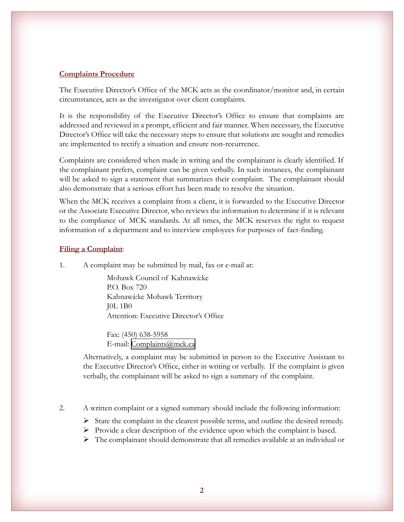### **Complaints Procedure**

The Executive Director's Office of the MCK acts as the coordinator/monitor and, in certain circumstances, acts as the investigator over client complaints.

It is the responsibility of the Executive Director's Office to ensure that complaints are addressed and reviewed in a prompt, efficient and fair manner. When necessary, the Executive Director's Office will take the necessary steps to ensure that solutions are sought and remedies are implemented to rectify a situation and ensure non-recurrence.

Complaints are considered when made in writing and the complainant is clearly identified. If the complainant prefers, complaint can be given verbally. In such instances, the complainant will be asked to sign a statement that summarizes their complaint. The complainant should also demonstrate that a serious effort has been made to resolve the situation.

When the MCK receives a complaint from a client, it is forwarded to the Executive Director or the Associate Executive Director, who reviews the information to determine if it is relevant to the compliance of MCK standards. At all times, the MCK reserves the right to request information of a department and to interview employees for purposes of fact-finding.

#### **Filing a Complaint**:

1. A complaint may be submitted by mail, fax or e-mail at:

Mohawk Council of Kahnawá:ke P.O. Box 720 Kahnawá:ke Mohawk Territory J0L 1B0 Attention: Executive Director's Office

Fax: (450) 638-5958 E-mail: [Complaints@mck.ca](mailto:Complaints@mck.ca)

Alternatively, a complaint may be submitted in person to the Executive Assistant to the Executive Director's Office, either in writing or verbally. If the complaint is given verbally, the complainant will be asked to sign a summary of the complaint.

2. A written complaint or a signed summary should include the following information:

 $\triangleright$  State the complaint in the clearest possible terms, and outline the desired remedy.

 $\triangleright$  Provide a clear description of the evidence upon which the complaint is based.

 $\triangleright$  The complainant should demonstrate that all remedies available at an individual or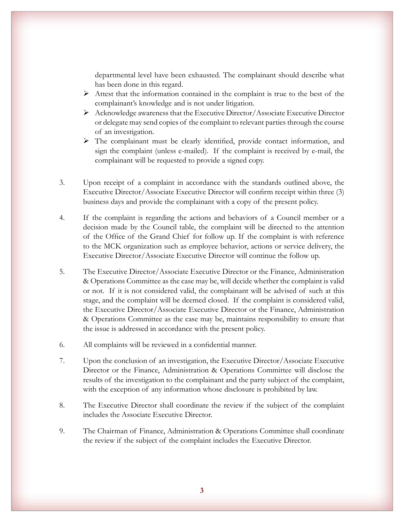departmental level have been exhausted. The complainant should describe what has been done in this regard.

- $\triangleright$  Attest that the information contained in the complaint is true to the best of the complainant's knowledge and is not under litigation.
- $\triangleright$  Acknowledge awareness that the Executive Director/Associate Executive Director or delegate may send copies of the complaint to relevant parties through the course of an investigation.
- The complainant must be clearly identified, provide contact information, and sign the complaint (unless e-mailed). If the complaint is received by e-mail, the complainant will be requested to provide a signed copy.
- 3. Upon receipt of a complaint in accordance with the standards outlined above, the Executive Director/Associate Executive Director will confirm receipt within three (3) business days and provide the complainant with a copy of the present policy.
- 4. If the complaint is regarding the actions and behaviors of a Council member or a decision made by the Council table, the complaint will be directed to the attention of the Office of the Grand Chief for follow up. If the complaint is with reference to the MCK organization such as employee behavior, actions or service delivery, the Executive Director/Associate Executive Director will continue the follow up.
- 5. The Executive Director/Associate Executive Director or the Finance, Administration & Operations Committee as the case may be, will decide whether the complaint is valid or not. If it is not considered valid, the complainant will be advised of such at this stage, and the complaint will be deemed closed. If the complaint is considered valid, the Executive Director/Associate Executive Director or the Finance, Administration & Operations Committee as the case may be, maintains responsibility to ensure that the issue is addressed in accordance with the present policy.
- 6. All complaints will be reviewed in a confidential manner.
- 7. Upon the conclusion of an investigation, the Executive Director/Associate Executive Director or the Finance, Administration & Operations Committee will disclose the results of the investigation to the complainant and the party subject of the complaint, with the exception of any information whose disclosure is prohibited by law.
- 8. The Executive Director shall coordinate the review if the subject of the complaint includes the Associate Executive Director.
- 9. The Chairman of Finance, Administration & Operations Committee shall coordinate the review if the subject of the complaint includes the Executive Director.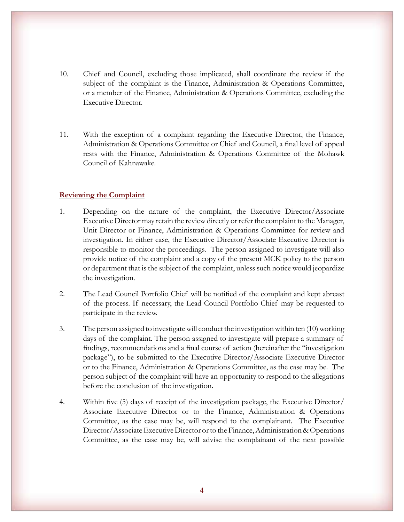- 10. Chief and Council, excluding those implicated, shall coordinate the review if the subject of the complaint is the Finance, Administration & Operations Committee, or a member of the Finance, Administration & Operations Committee, excluding the Executive Director.
- 11. With the exception of a complaint regarding the Executive Director, the Finance, Administration & Operations Committee or Chief and Council, a final level of appeal rests with the Finance, Administration & Operations Committee of the Mohawk Council of Kahnawake.

## **Reviewing the Complaint**

- 1. Depending on the nature of the complaint, the Executive Director/Associate Executive Director may retain the review directly or refer the complaint to the Manager, Unit Director or Finance, Administration & Operations Committee for review and investigation. In either case, the Executive Director/Associate Executive Director is responsible to monitor the proceedings. The person assigned to investigate will also provide notice of the complaint and a copy of the present MCK policy to the person or department that is the subject of the complaint, unless such notice would jeopardize the investigation.
- 2. The Lead Council Portfolio Chief will be notified of the complaint and kept abreast of the process. If necessary, the Lead Council Portfolio Chief may be requested to participate in the review.
- 3. The person assigned to investigate will conduct the investigation within ten (10) working days of the complaint. The person assigned to investigate will prepare a summary of findings, recommendations and a final course of action (hereinafter the "investigation package"), to be submitted to the Executive Director/Associate Executive Director or to the Finance, Administration & Operations Committee, as the case may be. The person subject of the complaint will have an opportunity to respond to the allegations before the conclusion of the investigation.
- 4. Within five (5) days of receipt of the investigation package, the Executive Director/ Associate Executive Director or to the Finance, Administration & Operations Committee, as the case may be, will respond to the complainant. The Executive Director/Associate Executive Director or to the Finance, Administration & Operations Committee, as the case may be, will advise the complainant of the next possible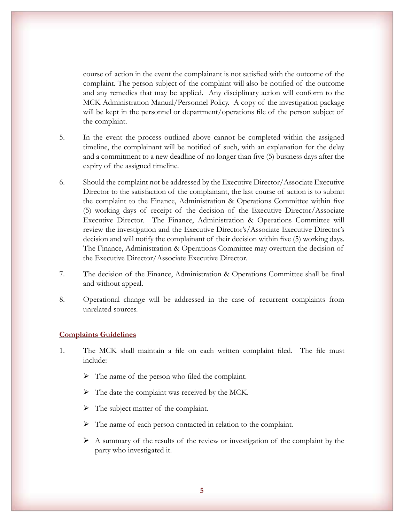course of action in the event the complainant is not satisfied with the outcome of the complaint. The person subject of the complaint will also be notified of the outcome and any remedies that may be applied. Any disciplinary action will conform to the MCK Administration Manual/Personnel Policy. A copy of the investigation package will be kept in the personnel or department/operations file of the person subject of the complaint.

- 5. In the event the process outlined above cannot be completed within the assigned timeline, the complainant will be notified of such, with an explanation for the delay and a commitment to a new deadline of no longer than five (5) business days after the expiry of the assigned timeline.
- 6. Should the complaint not be addressed by the Executive Director/Associate Executive Director to the satisfaction of the complainant, the last course of action is to submit the complaint to the Finance, Administration & Operations Committee within five (5) working days of receipt of the decision of the Executive Director/Associate Executive Director. The Finance, Administration & Operations Committee will review the investigation and the Executive Director's/Associate Executive Director's decision and will notify the complainant of their decision within five (5) working days. The Finance, Administration & Operations Committee may overturn the decision of the Executive Director/Associate Executive Director.
- 7. The decision of the Finance, Administration & Operations Committee shall be final and without appeal.
- 8. Operational change will be addressed in the case of recurrent complaints from unrelated sources.

## **Complaints Guidelines**

- 1. The MCK shall maintain a file on each written complaint filed. The file must include:
	- $\triangleright$  The name of the person who filed the complaint.
	- $\triangleright$  The date the complaint was received by the MCK.
	- $\triangleright$  The subject matter of the complaint.
	- $\triangleright$  The name of each person contacted in relation to the complaint.
	- $\triangleright$  A summary of the results of the review or investigation of the complaint by the party who investigated it.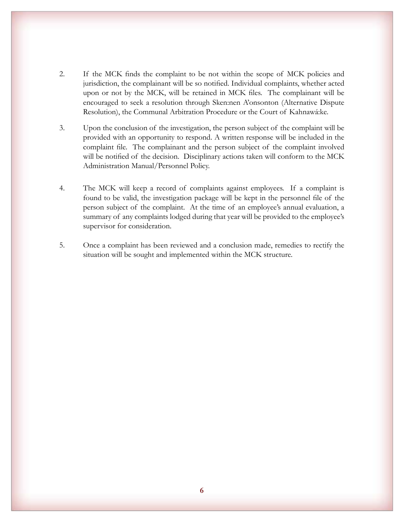- 2. If the MCK finds the complaint to be not within the scope of MCK policies and jurisdiction, the complainant will be so notified. Individual complaints, whether acted upon or not by the MCK, will be retained in MCK files. The complainant will be encouraged to seek a resolution through Sken:nen A'onsonton (Alternative Dispute Resolution), the Communal Arbitration Procedure or the Court of Kahnawá:ke.
- 3. Upon the conclusion of the investigation, the person subject of the complaint will be provided with an opportunity to respond. A written response will be included in the complaint file. The complainant and the person subject of the complaint involved will be notified of the decision. Disciplinary actions taken will conform to the MCK Administration Manual/Personnel Policy.
- 4. The MCK will keep a record of complaints against employees. If a complaint is found to be valid, the investigation package will be kept in the personnel file of the person subject of the complaint. At the time of an employee's annual evaluation, a summary of any complaints lodged during that year will be provided to the employee's supervisor for consideration.
- 5. Once a complaint has been reviewed and a conclusion made, remedies to rectify the situation will be sought and implemented within the MCK structure.